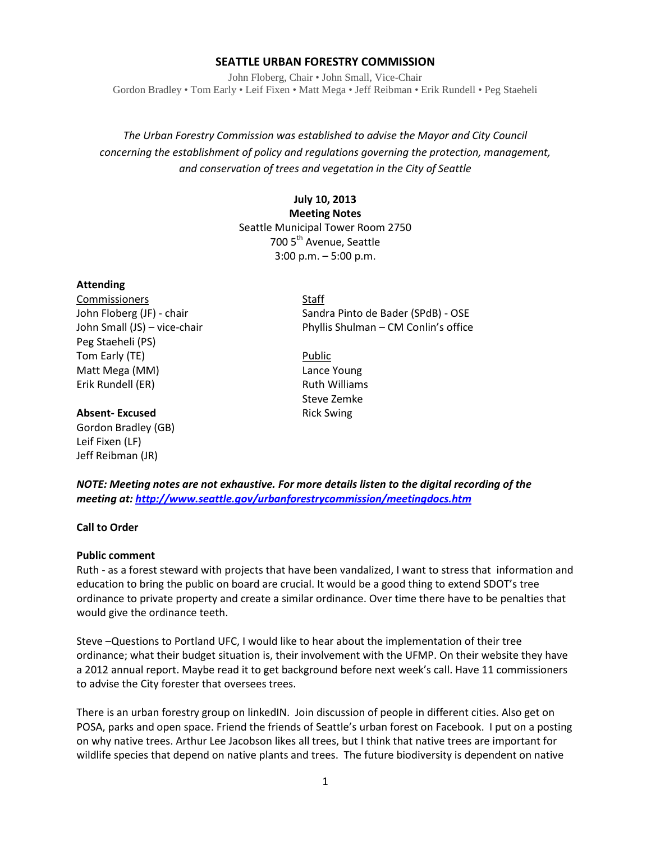# **SEATTLE URBAN FORESTRY COMMISSION**

John Floberg, Chair • John Small, Vice-Chair Gordon Bradley • Tom Early • Leif Fixen • Matt Mega • Jeff Reibman • Erik Rundell • Peg Staeheli

*The Urban Forestry Commission was established to advise the Mayor and City Council concerning the establishment of policy and regulations governing the protection, management, and conservation of trees and vegetation in the City of Seattle*

# **July 10, 2013 Meeting Notes** Seattle Municipal Tower Room 2750 700 5<sup>th</sup> Avenue, Seattle 3:00 p.m. – 5:00 p.m.

## **Attending**

Commissioners Staff Peg Staeheli (PS) Tom Early (TE) and the contract of the Public Public Matt Mega (MM) Lance Young Erik Rundell (ER) **Ruth Williams** 

## **Absent-Excused** Rick Swing

Gordon Bradley (GB) Leif Fixen (LF) Jeff Reibman (JR)

John Floberg (JF) - chair Sandra Pinto de Bader (SPdB) - OSE John Small (JS) – vice-chair Phyllis Shulman – CM Conlin's office

Steve Zemke

*NOTE: Meeting notes are not exhaustive. For more details listen to the digital recording of the meeting at[: http://www.seattle.gov/urbanforestrycommission/meetingdocs.htm](http://www.seattle.gov/urbanforestrycommission/meetingdocs.htm)*

#### **Call to Order**

#### **Public comment**

Ruth - as a forest steward with projects that have been vandalized, I want to stress that information and education to bring the public on board are crucial. It would be a good thing to extend SDOT's tree ordinance to private property and create a similar ordinance. Over time there have to be penalties that would give the ordinance teeth.

Steve –Questions to Portland UFC, I would like to hear about the implementation of their tree ordinance; what their budget situation is, their involvement with the UFMP. On their website they have a 2012 annual report. Maybe read it to get background before next week's call. Have 11 commissioners to advise the City forester that oversees trees.

There is an urban forestry group on linkedIN. Join discussion of people in different cities. Also get on POSA, parks and open space. Friend the friends of Seattle's urban forest on Facebook. I put on a posting on why native trees. Arthur Lee Jacobson likes all trees, but I think that native trees are important for wildlife species that depend on native plants and trees. The future biodiversity is dependent on native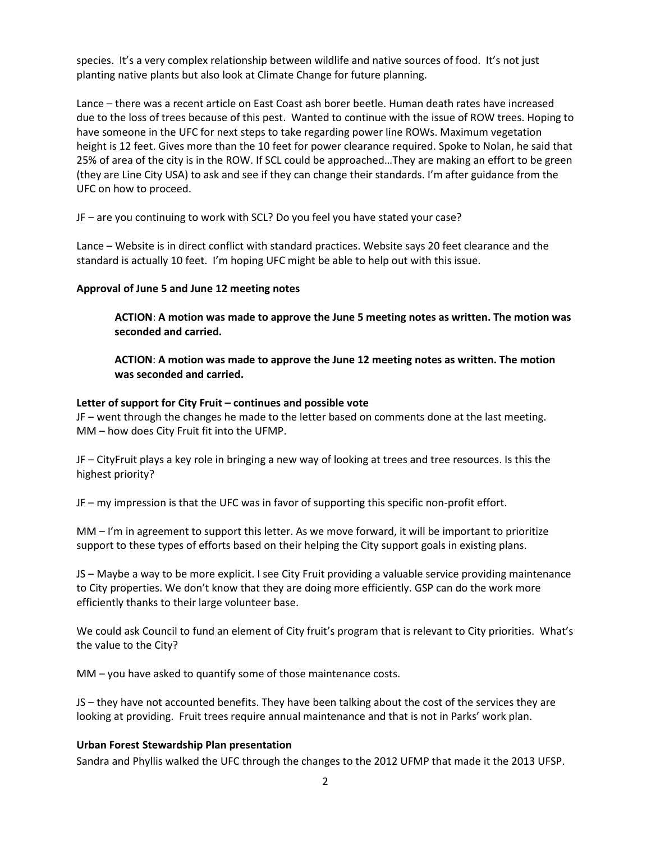species. It's a very complex relationship between wildlife and native sources of food. It's not just planting native plants but also look at Climate Change for future planning.

Lance – there was a recent article on East Coast ash borer beetle. Human death rates have increased due to the loss of trees because of this pest. Wanted to continue with the issue of ROW trees. Hoping to have someone in the UFC for next steps to take regarding power line ROWs. Maximum vegetation height is 12 feet. Gives more than the 10 feet for power clearance required. Spoke to Nolan, he said that 25% of area of the city is in the ROW. If SCL could be approached…They are making an effort to be green (they are Line City USA) to ask and see if they can change their standards. I'm after guidance from the UFC on how to proceed.

JF – are you continuing to work with SCL? Do you feel you have stated your case?

Lance – Website is in direct conflict with standard practices. Website says 20 feet clearance and the standard is actually 10 feet. I'm hoping UFC might be able to help out with this issue.

## **Approval of June 5 and June 12 meeting notes**

**ACTION**: **A motion was made to approve the June 5 meeting notes as written. The motion was seconded and carried.** 

**ACTION**: **A motion was made to approve the June 12 meeting notes as written. The motion was seconded and carried.** 

## **Letter of support for City Fruit – continues and possible vote**

JF – went through the changes he made to the letter based on comments done at the last meeting. MM – how does City Fruit fit into the UFMP.

JF – CityFruit plays a key role in bringing a new way of looking at trees and tree resources. Is this the highest priority?

JF – my impression is that the UFC was in favor of supporting this specific non-profit effort.

MM – I'm in agreement to support this letter. As we move forward, it will be important to prioritize support to these types of efforts based on their helping the City support goals in existing plans.

JS – Maybe a way to be more explicit. I see City Fruit providing a valuable service providing maintenance to City properties. We don't know that they are doing more efficiently. GSP can do the work more efficiently thanks to their large volunteer base.

We could ask Council to fund an element of City fruit's program that is relevant to City priorities. What's the value to the City?

MM – you have asked to quantify some of those maintenance costs.

JS – they have not accounted benefits. They have been talking about the cost of the services they are looking at providing. Fruit trees require annual maintenance and that is not in Parks' work plan.

# **Urban Forest Stewardship Plan presentation**

Sandra and Phyllis walked the UFC through the changes to the 2012 UFMP that made it the 2013 UFSP.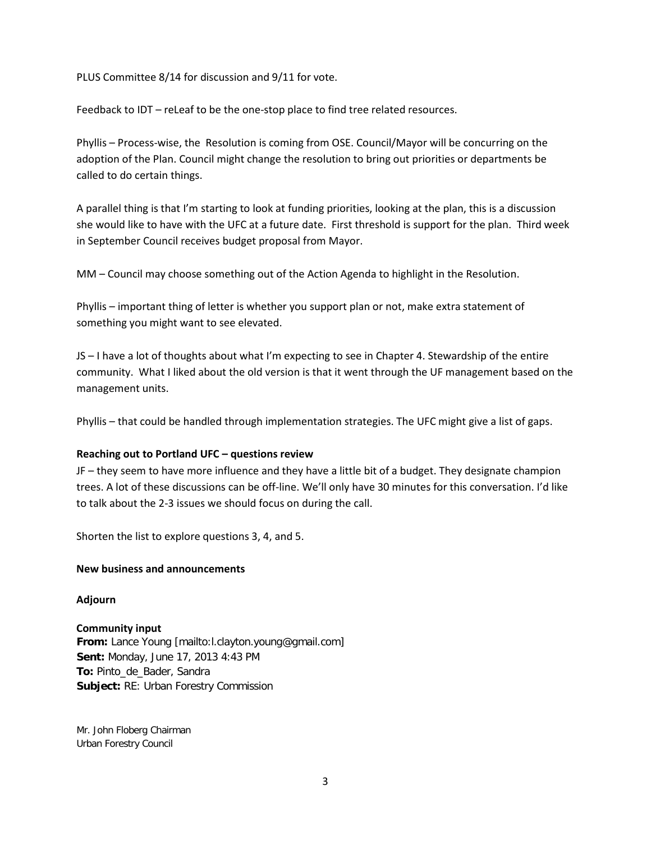PLUS Committee 8/14 for discussion and 9/11 for vote.

Feedback to IDT – reLeaf to be the one-stop place to find tree related resources.

Phyllis – Process-wise, the Resolution is coming from OSE. Council/Mayor will be concurring on the adoption of the Plan. Council might change the resolution to bring out priorities or departments be called to do certain things.

A parallel thing is that I'm starting to look at funding priorities, looking at the plan, this is a discussion she would like to have with the UFC at a future date. First threshold is support for the plan. Third week in September Council receives budget proposal from Mayor.

MM – Council may choose something out of the Action Agenda to highlight in the Resolution.

Phyllis – important thing of letter is whether you support plan or not, make extra statement of something you might want to see elevated.

JS – I have a lot of thoughts about what I'm expecting to see in Chapter 4. Stewardship of the entire community. What I liked about the old version is that it went through the UF management based on the management units.

Phyllis – that could be handled through implementation strategies. The UFC might give a list of gaps.

## **Reaching out to Portland UFC – questions review**

JF – they seem to have more influence and they have a little bit of a budget. They designate champion trees. A lot of these discussions can be off-line. We'll only have 30 minutes for this conversation. I'd like to talk about the 2-3 issues we should focus on during the call.

Shorten the list to explore questions 3, 4, and 5.

## **New business and announcements**

## **Adjourn**

# **Community input**

**From:** Lance Young [mailto:l.clayton.young@gmail.com] **Sent:** Monday, June 17, 2013 4:43 PM **To:** Pinto\_de\_Bader, Sandra **Subject:** RE: Urban Forestry Commission

Mr. John Floberg Chairman Urban Forestry Council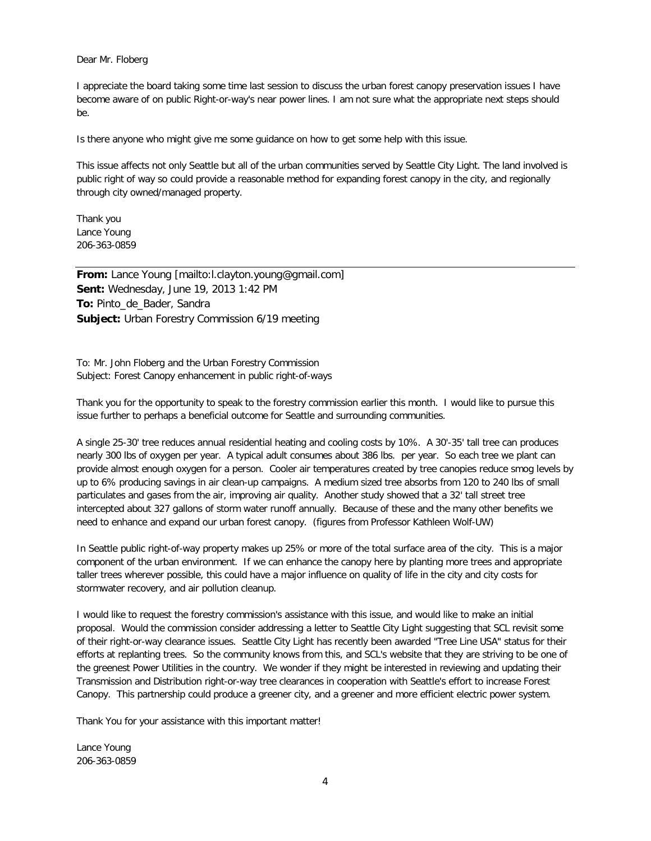#### Dear Mr. Floberg

I appreciate the board taking some time last session to discuss the urban forest canopy preservation issues I have become aware of on public Right-or-way's near power lines. I am not sure what the appropriate next steps should be.

Is there anyone who might give me some guidance on how to get some help with this issue.

This issue affects not only Seattle but all of the urban communities served by Seattle City Light. The land involved is public right of way so could provide a reasonable method for expanding forest canopy in the city, and regionally through city owned/managed property.

Thank you Lance Young 206-363-0859

**From:** Lance Young [mailto:l.clayton.young@gmail.com] **Sent:** Wednesday, June 19, 2013 1:42 PM **To:** Pinto\_de\_Bader, Sandra **Subject:** Urban Forestry Commission 6/19 meeting

To: Mr. John Floberg and the Urban Forestry Commission Subject: Forest Canopy enhancement in public right-of-ways

Thank you for the opportunity to speak to the forestry commission earlier this month. I would like to pursue this issue further to perhaps a beneficial outcome for Seattle and surrounding communities.

A single 25-30' tree reduces annual residential heating and cooling costs by 10%. A 30'-35' tall tree can produces nearly 300 lbs of oxygen per year. A typical adult consumes about 386 lbs. per year. So each tree we plant can provide almost enough oxygen for a person. Cooler air temperatures created by tree canopies reduce smog levels by up to 6% producing savings in air clean-up campaigns. A medium sized tree absorbs from 120 to 240 lbs of small particulates and gases from the air, improving air quality. Another study showed that a 32' tall street tree intercepted about 327 gallons of storm water runoff annually. Because of these and the many other benefits we need to enhance and expand our urban forest canopy. (figures from Professor Kathleen Wolf-UW)

In Seattle public right-of-way property makes up 25% or more of the total surface area of the city. This is a major component of the urban environment. If we can enhance the canopy here by planting more trees and appropriate taller trees wherever possible, this could have a major influence on quality of life in the city and city costs for stormwater recovery, and air pollution cleanup.

I would like to request the forestry commission's assistance with this issue, and would like to make an initial proposal. Would the commission consider addressing a letter to Seattle City Light suggesting that SCL revisit some of their right-or-way clearance issues. Seattle City Light has recently been awarded "Tree Line USA" status for their efforts at replanting trees. So the community knows from this, and SCL's website that they are striving to be one of the greenest Power Utilities in the country. We wonder if they might be interested in reviewing and updating their Transmission and Distribution right-or-way tree clearances in cooperation with Seattle's effort to increase Forest Canopy. This partnership could produce a greener city, and a greener and more efficient electric power system.

Thank You for your assistance with this important matter!

Lance Young 206-363-0859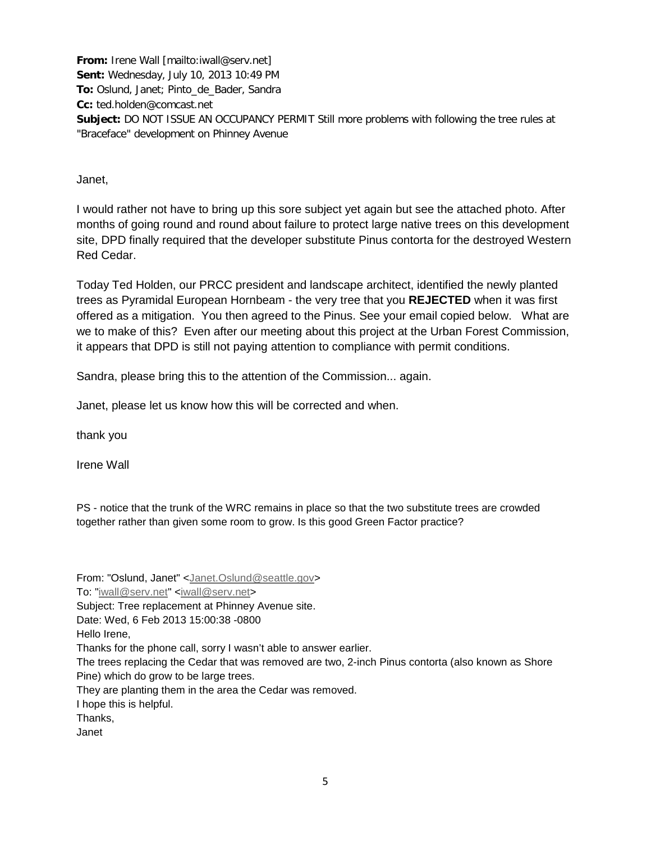**From:** Irene Wall [mailto:iwall@serv.net] **Sent:** Wednesday, July 10, 2013 10:49 PM **To:** Oslund, Janet; Pinto\_de\_Bader, Sandra **Cc:** ted.holden@comcast.net **Subject:** DO NOT ISSUE AN OCCUPANCY PERMIT Still more problems with following the tree rules at "Braceface" development on Phinney Avenue

Janet,

I would rather not have to bring up this sore subject yet again but see the attached photo. After months of going round and round about failure to protect large native trees on this development site, DPD finally required that the developer substitute Pinus contorta for the destroyed Western Red Cedar.

Today Ted Holden, our PRCC president and landscape architect, identified the newly planted trees as Pyramidal European Hornbeam - the very tree that you **REJECTED** when it was first offered as a mitigation. You then agreed to the Pinus. See your email copied below. What are we to make of this? Even after our meeting about this project at the Urban Forest Commission, it appears that DPD is still not paying attention to compliance with permit conditions.

Sandra, please bring this to the attention of the Commission... again.

Janet, please let us know how this will be corrected and when.

thank you

Irene Wall

PS - notice that the trunk of the WRC remains in place so that the two substitute trees are crowded together rather than given some room to grow. Is this good Green Factor practice?

From: "Oslund, Janet" [<Janet.Oslund@seattle.gov>](mailto:Janet.Oslund@seattle.gov)

To: ["iwall@serv.net"](mailto:iwall@serv.net) [<iwall@serv.net>](mailto:iwall@serv.net)

Subject: Tree replacement at Phinney Avenue site.

Hello Irene,

Thanks for the phone call, sorry I wasn't able to answer earlier.

The trees replacing the Cedar that was removed are two, 2-inch Pinus contorta (also known as Shore Pine) which do grow to be large trees.

They are planting them in the area the Cedar was removed.

I hope this is helpful.

Thanks,

Janet

Date: Wed, 6 Feb 2013 15:00:38 -0800